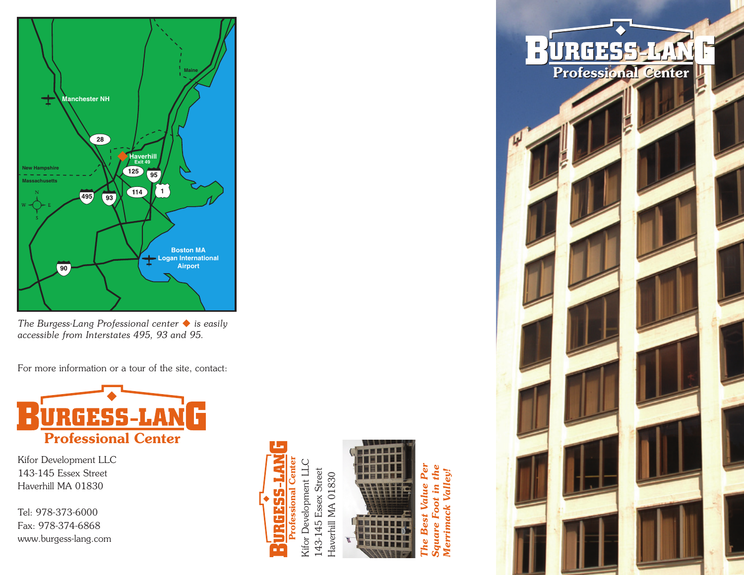

*The Burgess-Lang Professional center is easily accessible from Interstates 495, 93 and 95.*

For more information or a tour of the site, contact:



Kifor Development LLC 143-145 Essex Street Haverhill MA 01830

Tel: 978-373-6000 Fax: 978-374-6868 www.burgess-lang.com



143-145 Essex Street 143-145 Essex Street Haverhill MA 01830 Haverhill MA 01830



*The Best Value Per Square Foot in the Merrimack Valley!*Merrimack Valley. Value 100. **Best** uare he